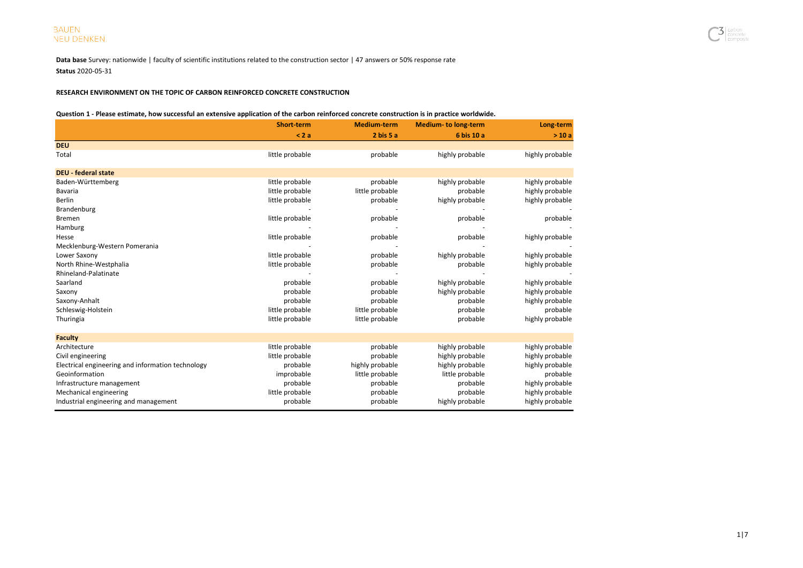Data base Survey: nationwide | faculty of scientific institutions related to the construction sector | 47 answers or 50% response rate Status 2020-05-31

## RESEARCH ENVIRONMENT ON THE TOPIC OF CARBON REINFORCED CONCRETE CONSTRUCTION

### Question 1 - Please estimate, how successful an extensive application of the carbon reinforced concrete construction is in practice worldwide.

|                                                   | Short-term      | <b>Medium-term</b>   | <b>Medium- to long-term</b> | Long-term       |
|---------------------------------------------------|-----------------|----------------------|-----------------------------|-----------------|
|                                                   | < 2a            | $2 \text{ bis } 5$ a | 6 bis 10 a                  | >10a            |
| <b>DEU</b>                                        |                 |                      |                             |                 |
| Total                                             | little probable | probable             | highly probable             | highly probable |
| <b>DEU - federal state</b>                        |                 |                      |                             |                 |
| Baden-Württemberg                                 | little probable | probable             | highly probable             | highly probable |
| Bavaria                                           | little probable | little probable      | probable                    | highly probable |
| <b>Berlin</b>                                     | little probable | probable             | highly probable             | highly probable |
| Brandenburg                                       |                 |                      |                             |                 |
| Bremen                                            | little probable | probable             | probable                    | probable        |
| Hamburg                                           |                 |                      |                             |                 |
| Hesse                                             | little probable | probable             | probable                    | highly probable |
| Mecklenburg-Western Pomerania                     |                 |                      |                             |                 |
| Lower Saxony                                      | little probable | probable             | highly probable             | highly probable |
| North Rhine-Westphalia                            | little probable | probable             | probable                    | highly probable |
| Rhineland-Palatinate                              |                 |                      |                             |                 |
| Saarland                                          | probable        | probable             | highly probable             | highly probable |
| Saxony                                            | probable        | probable             | highly probable             | highly probable |
| Saxony-Anhalt                                     | probable        | probable             | probable                    | highly probable |
| Schleswig-Holstein                                | little probable | little probable      | probable                    | probable        |
| Thuringia                                         | little probable | little probable      | probable                    | highly probable |
| <b>Faculty</b>                                    |                 |                      |                             |                 |
| Architecture                                      | little probable | probable             | highly probable             | highly probable |
| Civil engineering                                 | little probable | probable             | highly probable             | highly probable |
| Electrical engineering and information technology | probable        | highly probable      | highly probable             | highly probable |
| Geoinformation                                    | improbable      | little probable      | little probable             | probable        |
| Infrastructure management                         | probable        | probable             | probable                    | highly probable |
| Mechanical engineering                            | little probable | probable             | probable                    | highly probable |
| Industrial engineering and management             | probable        | probable             | highly probable             | highly probable |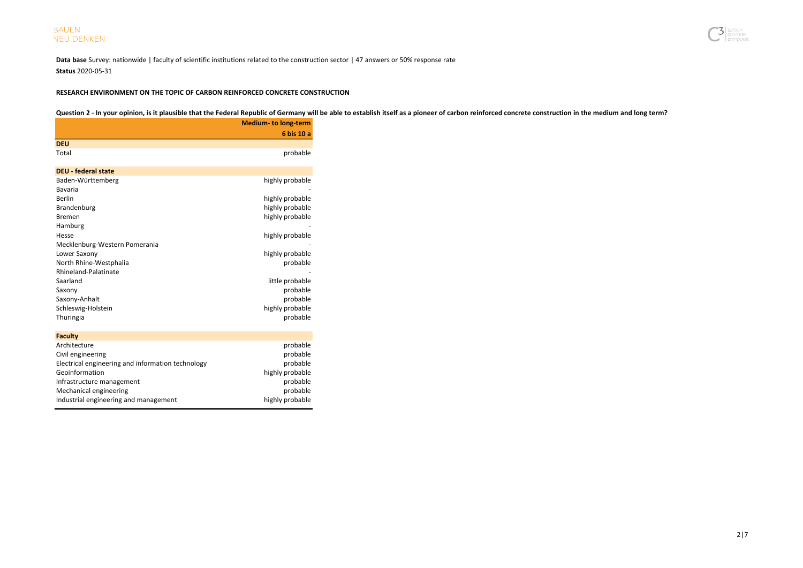

Data base Survey: nationwide | faculty of scientific institutions related to the construction sector | 47 answers or 50% response rate Status 2020-05-31

## RESEARCH ENVIRONMENT ON THE TOPIC OF CARBON REINFORCED CONCRETE CONSTRUCTION

## Question 2 - In your opinion, is it plausible that the Federal Republic of Germany will be able to establish itself as a pioneer of carbon reinforced concrete construction in the medium and long term?

|                                                   | <b>Medium- to long-term</b> |
|---------------------------------------------------|-----------------------------|
|                                                   | 6 bis 10 a                  |
| <b>DEU</b>                                        |                             |
| Total                                             | probable                    |
| <b>DEU - federal state</b>                        |                             |
| Baden-Württemberg                                 | highly probable             |
| Bavaria                                           |                             |
| Berlin                                            | highly probable             |
| Brandenburg                                       | highly probable             |
| <b>Bremen</b>                                     | highly probable             |
| Hamburg                                           |                             |
| Hesse                                             | highly probable             |
| Mecklenburg-Western Pomerania                     |                             |
| Lower Saxony                                      | highly probable             |
| North Rhine-Westphalia                            | probable                    |
| Rhineland-Palatinate                              |                             |
| Saarland                                          | little probable             |
| Saxony                                            | probable                    |
| Saxony-Anhalt                                     | probable                    |
| Schleswig-Holstein                                | highly probable             |
| Thuringia                                         | probable                    |
| <b>Faculty</b>                                    |                             |
| Architecture                                      | probable                    |
| Civil engineering                                 | probable                    |
| Electrical engineering and information technology | probable                    |
| Geoinformation                                    | highly probable             |
| Infrastructure management                         | probable                    |
| Mechanical engineering                            | probable                    |
| Industrial engineering and management             | highly probable             |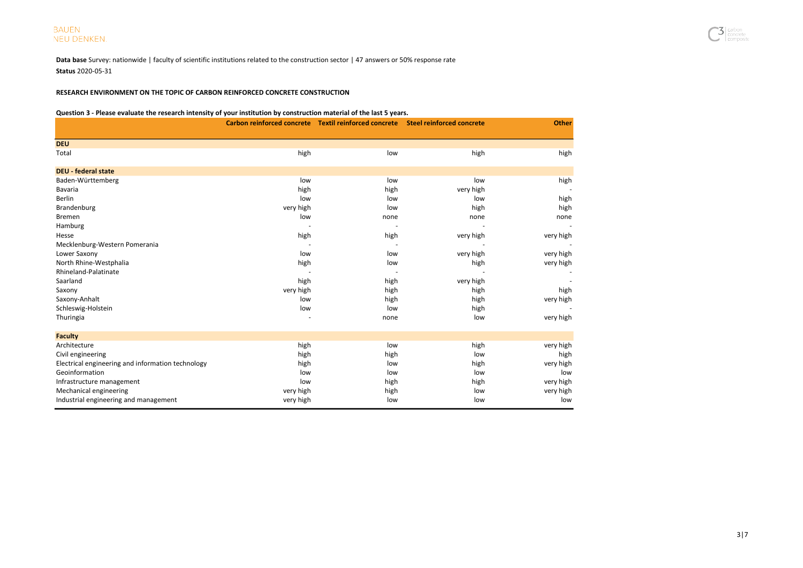Data base Survey: nationwide | faculty of scientific institutions related to the construction sector | 47 answers or 50% response rate Status 2020-05-31

## RESEARCH ENVIRONMENT ON THE TOPIC OF CARBON REINFORCED CONCRETE CONSTRUCTION

#### Question 3 - Please evaluate the research intensity of your institution by construction material of the last 5 years.

| Question 3 - Ficase evaluate the research intensity or your mstitution by construction material or the last 3 years. | Carbon reinforced concrete Textil reinforced concrete Steel reinforced concrete | <b>Other</b> |           |           |
|----------------------------------------------------------------------------------------------------------------------|---------------------------------------------------------------------------------|--------------|-----------|-----------|
|                                                                                                                      |                                                                                 |              |           |           |
| <b>DEU</b>                                                                                                           |                                                                                 |              |           |           |
| Total                                                                                                                | high                                                                            | low          | high      | high      |
| <b>DEU - federal state</b>                                                                                           |                                                                                 |              |           |           |
| Baden-Württemberg                                                                                                    | low                                                                             | low          | low       | high      |
| Bavaria                                                                                                              | high                                                                            | high         | very high |           |
| <b>Berlin</b>                                                                                                        | low                                                                             | low          | low       | high      |
| Brandenburg                                                                                                          | very high                                                                       | low          | high      | high      |
| Bremen                                                                                                               | low                                                                             | none         | none      | none      |
| Hamburg                                                                                                              |                                                                                 |              |           |           |
| Hesse                                                                                                                | high                                                                            | high         | very high | very high |
| Mecklenburg-Western Pomerania                                                                                        |                                                                                 |              |           |           |
| Lower Saxony                                                                                                         | low                                                                             | low          | very high | very high |
| North Rhine-Westphalia                                                                                               | high                                                                            | low          | high      | very high |
| Rhineland-Palatinate                                                                                                 |                                                                                 |              |           |           |
| Saarland                                                                                                             | high                                                                            | high         | very high |           |
| Saxony                                                                                                               | very high                                                                       | high         | high      | high      |
| Saxony-Anhalt                                                                                                        | low                                                                             | high         | high      | very high |
| Schleswig-Holstein                                                                                                   | low                                                                             | low          | high      |           |
| Thuringia                                                                                                            |                                                                                 | none         | low       | very high |
| <b>Faculty</b>                                                                                                       |                                                                                 |              |           |           |
| Architecture                                                                                                         | high                                                                            | low          | high      | very high |
| Civil engineering                                                                                                    | high                                                                            | high         | low       | high      |
| Electrical engineering and information technology                                                                    | high                                                                            | low          | high      | very high |
| Geoinformation                                                                                                       | low                                                                             | low          | low       | low       |
| Infrastructure management                                                                                            | low                                                                             | high         | high      | very high |
| Mechanical engineering                                                                                               | very high                                                                       | high         | low       | very high |
| Industrial engineering and management                                                                                | very high                                                                       | low          | low       | low       |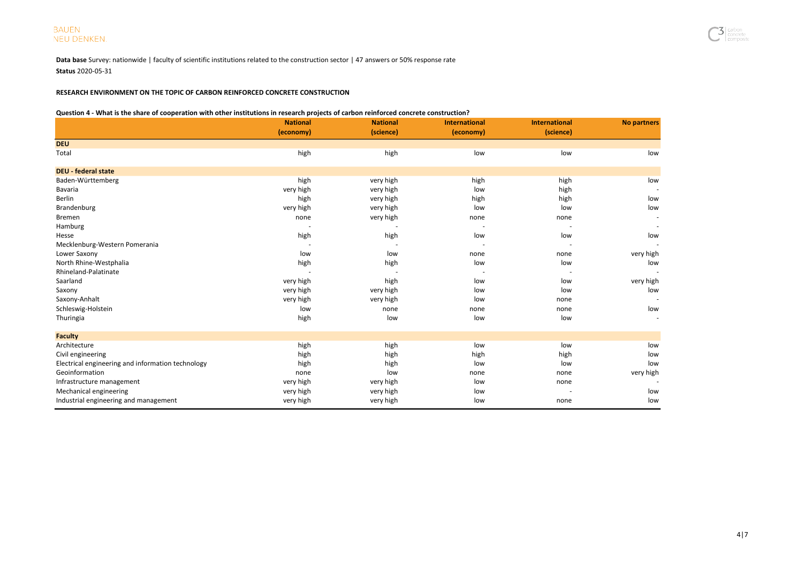Data base Survey: nationwide | faculty of scientific institutions related to the construction sector | 47 answers or 50% response rate Status 2020-05-31

## RESEARCH ENVIRONMENT ON THE TOPIC OF CARBON REINFORCED CONCRETE CONSTRUCTION

#### Question 4 - What is the share of cooperation with other institutions in research projects of carbon reinforced concrete construction?

|                                                   | <br><b>National</b> | <b>National</b> | <b>International</b>     | <b>International</b> | <b>No partners</b> |
|---------------------------------------------------|---------------------|-----------------|--------------------------|----------------------|--------------------|
|                                                   | (economy)           | (science)       | (economy)                | (science)            |                    |
| <b>DEU</b>                                        |                     |                 |                          |                      |                    |
| Total                                             | high                | high            | low                      | low                  | low                |
| <b>DEU - federal state</b>                        |                     |                 |                          |                      |                    |
| Baden-Württemberg                                 | high                | very high       | high                     | high                 | low                |
| Bavaria                                           | very high           | very high       | low                      | high                 |                    |
| <b>Berlin</b>                                     | high                | very high       | high                     | high                 | low                |
| Brandenburg                                       | very high           | very high       | low                      | low                  | low                |
| <b>Bremen</b>                                     | none                | very high       | none                     | none                 |                    |
| Hamburg                                           |                     |                 | $\overline{\phantom{a}}$ |                      |                    |
| Hesse                                             | high                | high            | low                      | low                  | low                |
| Mecklenburg-Western Pomerania                     |                     |                 |                          |                      |                    |
| Lower Saxony                                      | low                 | low             | none                     | none                 | very high          |
| North Rhine-Westphalia                            | high                | high            | low                      | low                  | low                |
| Rhineland-Palatinate                              |                     |                 |                          |                      |                    |
| Saarland                                          | very high           | high            | low                      | low                  | very high          |
| Saxony                                            | very high           | very high       | low                      | low                  | low                |
| Saxony-Anhalt                                     | very high           | very high       | low                      | none                 |                    |
| Schleswig-Holstein                                | low                 | none            | none                     | none                 | low                |
| Thuringia                                         | high                | low             | low                      | low                  |                    |
| <b>Faculty</b>                                    |                     |                 |                          |                      |                    |
| Architecture                                      | high                | high            | low                      | low                  | low                |
| Civil engineering                                 | high                | high            | high                     | high                 | low                |
| Electrical engineering and information technology | high                | high            | low                      | low                  | low                |
| Geoinformation                                    | none                | low             | none                     | none                 | very high          |
| Infrastructure management                         | very high           | very high       | low                      | none                 |                    |
| Mechanical engineering                            | very high           | very high       | low                      |                      | low                |
| Industrial engineering and management             | very high           | very high       | low                      | none                 | low                |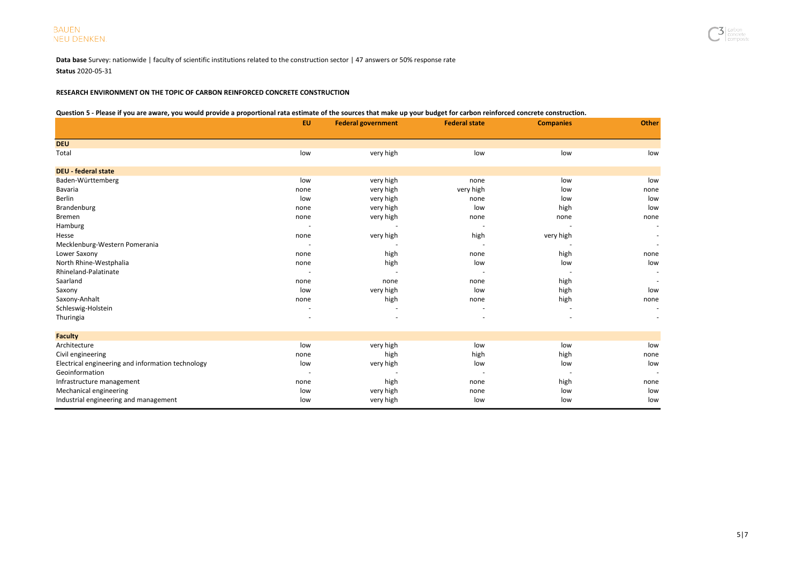Data base Survey: nationwide | faculty of scientific institutions related to the construction sector | 47 answers or 50% response rate Status 2020-05-31

## RESEARCH ENVIRONMENT ON THE TOPIC OF CARBON REINFORCED CONCRETE CONSTRUCTION

#### Question 5 - Please if you are aware, you would provide a proportional rata estimate of the sources that make up your budget for carbon reinforced concrete construction.

| Question 3 - Heast in you are aware, you would provide a proportional rata estimate or the sources that make up your budget for carbon remioreca concrete construction. | <b>EU</b> | <b>Federal government</b> | <b>Federal state</b> | <b>Companies</b> | <b>Other</b> |
|-------------------------------------------------------------------------------------------------------------------------------------------------------------------------|-----------|---------------------------|----------------------|------------------|--------------|
| <b>DEU</b>                                                                                                                                                              |           |                           |                      |                  |              |
| Total                                                                                                                                                                   | low       | very high                 | low                  | low              | low          |
| <b>DEU - federal state</b>                                                                                                                                              |           |                           |                      |                  |              |
| Baden-Württemberg                                                                                                                                                       | low       | very high                 | none                 | low              | low          |
| Bavaria                                                                                                                                                                 | none      | very high                 | very high            | low              | none         |
| <b>Berlin</b>                                                                                                                                                           | low       | very high                 | none                 | low              | low          |
| Brandenburg                                                                                                                                                             | none      | very high                 | low                  | high             | low          |
| <b>Bremen</b>                                                                                                                                                           | none      | very high                 | none                 | none             | none         |
| Hamburg                                                                                                                                                                 |           |                           |                      |                  |              |
| Hesse                                                                                                                                                                   | none      | very high                 | high                 | very high        |              |
| Mecklenburg-Western Pomerania                                                                                                                                           |           |                           |                      |                  |              |
| Lower Saxony                                                                                                                                                            | none      | high                      | none                 | high             | none         |
| North Rhine-Westphalia                                                                                                                                                  | none      | high                      | low                  | low              | low          |
| Rhineland-Palatinate                                                                                                                                                    |           |                           |                      |                  |              |
| Saarland                                                                                                                                                                | none      | none                      | none                 | high             |              |
| Saxony                                                                                                                                                                  | low       | very high                 | low                  | high             | low          |
| Saxony-Anhalt                                                                                                                                                           | none      | high                      | none                 | high             | none         |
| Schleswig-Holstein                                                                                                                                                      |           |                           |                      |                  |              |
| Thuringia                                                                                                                                                               |           |                           |                      |                  |              |
| <b>Faculty</b>                                                                                                                                                          |           |                           |                      |                  |              |
| Architecture                                                                                                                                                            | low       | very high                 | low                  | low              | low          |
| Civil engineering                                                                                                                                                       | none      | high                      | high                 | high             | none         |
| Electrical engineering and information technology                                                                                                                       | low       | very high                 | low                  | low              | low          |
| Geoinformation                                                                                                                                                          |           |                           |                      |                  |              |
| Infrastructure management                                                                                                                                               | none      | high                      | none                 | high             | none         |
| Mechanical engineering                                                                                                                                                  | low       | very high                 | none                 | low              | low          |
| Industrial engineering and management                                                                                                                                   | low       | very high                 | low                  | low              | low          |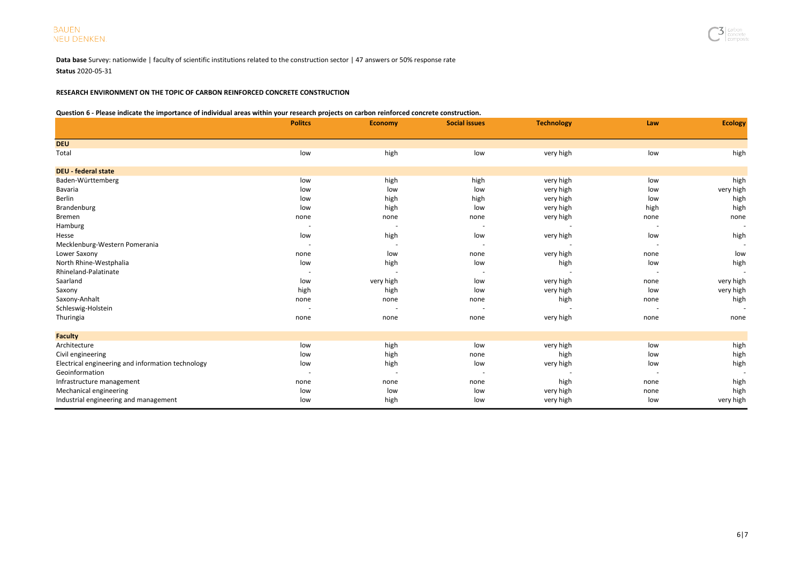Data base Survey: nationwide | faculty of scientific institutions related to the construction sector | 47 answers or 50% response rate Status 2020-05-31

## RESEARCH ENVIRONMENT ON THE TOPIC OF CARBON REINFORCED CONCRETE CONSTRUCTION

### Question 6 - Please indicate the importance of individual areas within your research projects on carbon reinforced concrete construction.

|                                                   | <b>Politcs</b>           | <b>Economy</b>           | <b>Social issues</b> | <b>Technology</b> | Law  | <b>Ecology</b> |
|---------------------------------------------------|--------------------------|--------------------------|----------------------|-------------------|------|----------------|
| <b>DEU</b>                                        |                          |                          |                      |                   |      |                |
| Total                                             | low                      | high                     | low                  | very high         | low  | high           |
| <b>DEU - federal state</b>                        |                          |                          |                      |                   |      |                |
| Baden-Württemberg                                 | low                      | high                     | high                 | very high         | low  | high           |
| Bavaria                                           | low                      | low                      | low                  | very high         | low  | very high      |
| Berlin                                            | low                      | high                     | high                 | very high         | low  | high           |
| Brandenburg                                       | low                      | high                     | low                  | very high         | high | high           |
| Bremen                                            | none                     | none                     | none                 | very high         | none | none           |
| Hamburg                                           |                          | $\overline{\phantom{a}}$ |                      |                   |      |                |
| Hesse                                             | low                      | high                     | low                  | very high         | low  | high           |
| Mecklenburg-Western Pomerania                     | $\overline{\phantom{a}}$ |                          |                      |                   |      |                |
| Lower Saxony                                      | none                     | low                      | none                 | very high         | none | low            |
| North Rhine-Westphalia                            | low                      | high                     | low                  | high              | low  | high           |
| Rhineland-Palatinate                              |                          |                          |                      |                   |      |                |
| Saarland                                          | low                      | very high                | low                  | very high         | none | very high      |
| Saxony                                            | high                     | high                     | low                  | very high         | low  | very high      |
| Saxony-Anhalt                                     | none                     | none                     | none                 | high              | none | high           |
| Schleswig-Holstein                                | $\overline{\phantom{a}}$ |                          |                      |                   |      |                |
| Thuringia                                         | none                     | none                     | none                 | very high         | none | none           |
| <b>Faculty</b>                                    |                          |                          |                      |                   |      |                |
| Architecture                                      | low                      | high                     | low                  | very high         | low  | high           |
| Civil engineering                                 | low                      | high                     | none                 | high              | low  | high           |
| Electrical engineering and information technology | low                      | high                     | low                  | very high         | low  | high           |
| Geoinformation                                    |                          | $\overline{\phantom{a}}$ |                      |                   |      |                |
| Infrastructure management                         | none                     | none                     | none                 | high              | none | high           |
| Mechanical engineering                            | low                      | low                      | low                  | very high         | none | high           |
| Industrial engineering and management             | low                      | high                     | low                  | very high         | low  | very high      |